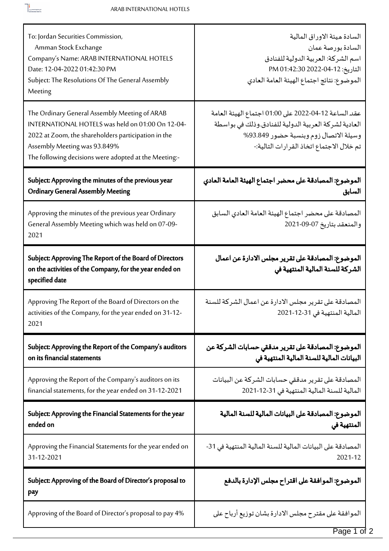$\fbox{\begin{minipage}{10cm} \begin{tabular}{|c|c|} \hline \hline \multicolumn{3}{|c|}{\multicolumn{2}{|c|}{\multicolumn{2}{|c|}{\hline \multicolumn{2}{|c|}{\hline \multicolumn{2}{|c|}{\hline \multicolumn{2}{|c|}{\hline \multicolumn{2}{|c|}{\hline \multicolumn{2}{|c|}{\hline \multicolumn{2}{|c|}{\hline \multicolumn{2}{|c|}{\hline \multicolumn{2}{|c|}{\hline \multicolumn{2}{|c|}{\hline \multicolumn{2}{|c|}{\hline \multicolumn{2}{|c|}{\h$ 

| To: Jordan Securities Commission,<br>Amman Stock Exchange<br>Company's Name: ARAB INTERNATIONAL HOTELS<br>Date: 12-04-2022 01:42:30 PM<br>Subject: The Resolutions Of The General Assembly<br>Meeting                                             | السادة ميئة الاوراق المالية<br>السادة بورصة عمان<br>اسم الشركة: العربية الدولية للفنادق<br>التاريخ: 12-04-2022 01:42:30 PM<br>الموضوع: نتائج اجتماع الهيئة العامة العادي                           |
|---------------------------------------------------------------------------------------------------------------------------------------------------------------------------------------------------------------------------------------------------|----------------------------------------------------------------------------------------------------------------------------------------------------------------------------------------------------|
| The Ordinary General Assembly Meeting of ARAB<br>INTERNATIONAL HOTELS was held on 01:00 On 12-04-<br>2022 at Zoom, the shareholders participation in the<br>Assembly Meeting was 93.849%<br>The following decisions were adopted at the Meeting:- | عقد الساعة 12-04-2022 على 01:00 اجتماع الهيئة العامة<br>العادية لشركة العربية الدولية للفنادق.وذلك في بواسطة<br>وسيلة الاتصال زوم وبنسبة حضور 93.849%<br>تم خلال الاجتماع اتخاذ القرارات التالية:- |
| Subject: Approving the minutes of the previous year<br><b>Ordinary General Assembly Meeting</b>                                                                                                                                                   | الموضوع: المصادقة على محضر اجتماع الهيئة العامة العادي<br>السابق                                                                                                                                   |
| Approving the minutes of the previous year Ordinary<br>General Assembly Meeting which was held on 07-09-<br>2021                                                                                                                                  | المصادقة على محضر اجتماع الهيئة العامة العادي السابق<br>والمنعقد بتاريخ 07-09-2021                                                                                                                 |
| Subject: Approving The Report of the Board of Directors<br>on the activities of the Company, for the year ended on<br>specified date                                                                                                              | الموضوع: المصادقة على تقرير مجلس الادارة عن اعمال<br>الشركة للسنة المالية المنتهية في                                                                                                              |
| Approving The Report of the Board of Directors on the<br>activities of the Company, for the year ended on 31-12-<br>2021                                                                                                                          | المصادقة على تقرير مجلس الادارة عن اعمال الشركة للسنة<br>المالية المنتهية في 31-12-2021                                                                                                            |
| Subject: Approving the Report of the Company's auditors<br>on its financial statements                                                                                                                                                            | الموضوع: المصادقة على تقرير مدققي حسابات الشركة عن<br>البيانات المالية للسنة المالية المنتهية في                                                                                                   |
| Approving the Report of the Company's auditors on its<br>financial statements, for the year ended on 31-12-2021                                                                                                                                   | المصادقة على تقرير مدققى حسابات الشركة عن البيانات<br>المالية للسنة المالية المنتهية في 31-12-2021                                                                                                 |
| Subject: Approving the Financial Statements for the year<br>ended on                                                                                                                                                                              | الموضوع: المصادقة على البيانات المالية للسنة المالية<br>المنتهية في                                                                                                                                |
| Approving the Financial Statements for the year ended on<br>31-12-2021                                                                                                                                                                            | المصادقة على البيانات المالية للسنة المالية المنتهية في 31-<br>2021-12                                                                                                                             |
| Subject: Approving of the Board of Director's proposal to<br>pay                                                                                                                                                                                  | الموضوع: الموافقة على اقتراح مجلس الإدارة بالدفع                                                                                                                                                   |
| Approving of the Board of Director's proposal to pay 4%                                                                                                                                                                                           | الموافقة على مقترح مجلس الادارة بشان توزيع أرباح على                                                                                                                                               |

Page 1 of 2